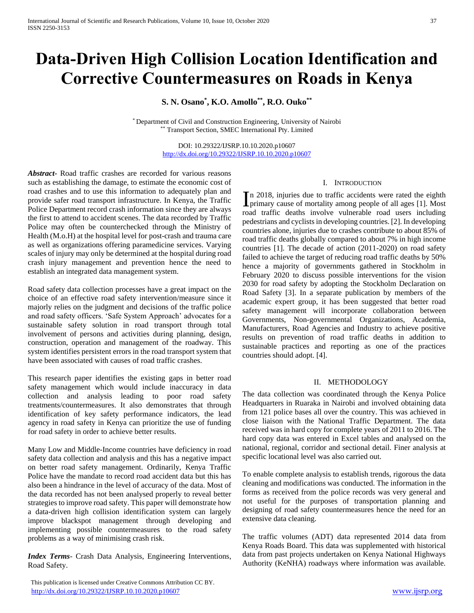# **Data-Driven High Collision Location Identification and Corrective Countermeasures on Roads in Kenya**

**S. N. Osano\* , K.O. Amollo\*\* , R.O. Ouko\*\***

\* Department of Civil and Construction Engineering, University of Nairobi \*\* Transport Section, SMEC International Pty. Limited

> DOI: 10.29322/IJSRP.10.10.2020.p10607 <http://dx.doi.org/10.29322/IJSRP.10.10.2020.p10607>

*Abstract***-** Road traffic crashes are recorded for various reasons such as establishing the damage, to estimate the economic cost of road crashes and to use this information to adequately plan and provide safer road transport infrastructure. In Kenya, the Traffic Police Department record crash information since they are always the first to attend to accident scenes. The data recorded by Traffic Police may often be counterchecked through the Ministry of Health (M.o.H) at the hospital level for post-crash and trauma care as well as organizations offering paramedicine services. Varying scales of injury may only be determined at the hospital during road crash injury management and prevention hence the need to establish an integrated data management system.

Road safety data collection processes have a great impact on the choice of an effective road safety intervention/measure since it majorly relies on the judgment and decisions of the traffic police and road safety officers. 'Safe System Approach' advocates for a sustainable safety solution in road transport through total involvement of persons and activities during planning, design, construction, operation and management of the roadway. This system identifies persistent errors in the road transport system that have been associated with causes of road traffic crashes.

This research paper identifies the existing gaps in better road safety management which would include inaccuracy in data collection and analysis leading to poor road safety treatments/countermeasures. It also demonstrates that through identification of key safety performance indicators, the lead agency in road safety in Kenya can prioritize the use of funding for road safety in order to achieve better results.

Many Low and Middle-Income countries have deficiency in road safety data collection and analysis and this has a negative impact on better road safety management. Ordinarily, Kenya Traffic Police have the mandate to record road accident data but this has also been a hindrance in the level of accuracy of the data. Most of the data recorded has not been analysed properly to reveal better strategies to improve road safety. This paper will demonstrate how a data-driven high collision identification system can largely improve blackspot management through developing and implementing possible countermeasures to the road safety problems as a way of minimising crash risk.

*Index Terms*- Crash Data Analysis, Engineering Interventions, Road Safety.

#### I. INTRODUCTION

n 2018, injuries due to traffic accidents were rated the eighth In 2018, injuries due to traffic accidents were rated the eighth<br>primary cause of mortality among people of all ages [1]. Most road traffic deaths involve vulnerable road users including pedestrians and cyclists in developing countries. [2]. In developing countries alone, injuries due to crashes contribute to about 85% of road traffic deaths globally compared to about 7% in high income countries [1]. The decade of action (2011-2020) on road safety failed to achieve the target of reducing road traffic deaths by 50% hence a majority of governments gathered in Stockholm in February 2020 to discuss possible interventions for the vision 2030 for road safety by adopting the Stockholm Declaration on Road Safety [3]. In a separate publication by members of the academic expert group, it has been suggested that better road safety management will incorporate collaboration between Governments, Non-governmental Organizations, Academia, Manufacturers, Road Agencies and Industry to achieve positive results on prevention of road traffic deaths in addition to sustainable practices and reporting as one of the practices countries should adopt. [4].

#### II. METHODOLOGY

The data collection was coordinated through the Kenya Police Headquarters in Ruaraka in Nairobi and involved obtaining data from 121 police bases all over the country. This was achieved in close liaison with the National Traffic Department. The data received was in hard copy for complete years of 2011 to 2016. The hard copy data was entered in Excel tables and analysed on the national, regional, corridor and sectional detail. Finer analysis at specific locational level was also carried out.

To enable complete analysis to establish trends, rigorous the data cleaning and modifications was conducted. The information in the forms as received from the police records was very general and not useful for the purposes of transportation planning and designing of road safety countermeasures hence the need for an extensive data cleaning.

The traffic volumes (ADT) data represented 2014 data from Kenya Roads Board. This data was supplemented with historical data from past projects undertaken on Kenya National Highways Authority (KeNHA) roadways where information was available.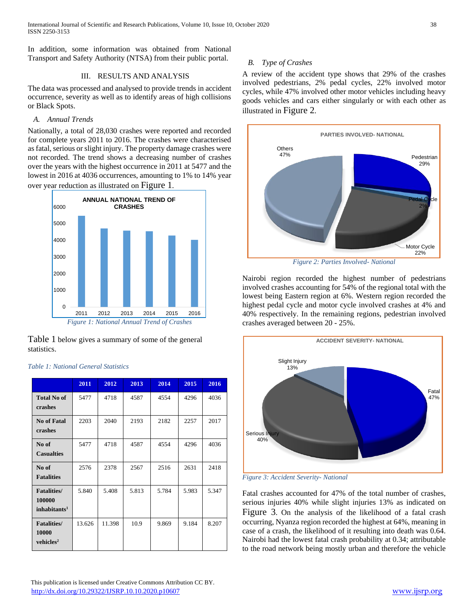In addition, some information was obtained from National Transport and Safety Authority (NTSA) from their public portal.

## III. RESULTS AND ANALYSIS

The data was processed and analysed to provide trends in accident occurrence, severity as well as to identify areas of high collisions or Black Spots.

## *A. Annual Trends*

Nationally, a total of 28,030 crashes were reported and recorded for complete years 2011 to 2016. The crashes were characterised as fatal, serious or slight injury. The property damage crashes were not recorded. The trend shows a decreasing number of crashes over the years with the highest occurrence in 2011 at 5477 and the lowest in 2016 at 4036 occurrences, amounting to 1% to 14% year over year reduction as illustrated on [Figure 1](#page-1-0).



<span id="page-1-0"></span>[Table 1](#page-1-1) below gives a summary of some of the general

|                          | 2011   | 2012   | 2013  | 2014  | 2015  | 2016  |  |
|--------------------------|--------|--------|-------|-------|-------|-------|--|
| <b>Total No of</b>       | 5477   | 4718   | 4587  | 4554  | 4296  | 4036  |  |
| crashes                  |        |        |       |       |       |       |  |
| No of Fatal              | 2203   | 2040   | 2193  | 2182  | 2257  | 2017  |  |
| crashes                  |        |        |       |       |       |       |  |
| No of                    | 5477   | 4718   | 4587  | 4554  | 4296  | 4036  |  |
| <b>Casualties</b>        |        |        |       |       |       |       |  |
| No of                    | 2576   | 2378   | 2567  | 2516  | 2631  | 2418  |  |
| <b>Fatalities</b>        |        |        |       |       |       |       |  |
| <b>Fatalities</b> /      | 5.840  | 5.408  | 5.813 | 5.784 | 5.983 | 5.347 |  |
| 100000                   |        |        |       |       |       |       |  |
| inhabitants <sup>1</sup> |        |        |       |       |       |       |  |
| <b>Fatalities/</b>       | 13.626 | 11.398 | 10.9  | 9.869 | 9.184 | 8.207 |  |
| 10000                    |        |        |       |       |       |       |  |
| vehicles <sup>2</sup>    |        |        |       |       |       |       |  |

#### <span id="page-1-1"></span>*Table 1: National General Statistics*

statistics.

## *B. Type of Crashes*

A review of the accident type shows that 29% of the crashes involved pedestrians, 2% pedal cycles, 22% involved motor cycles, while 47% involved other motor vehicles including heavy goods vehicles and cars either singularly or with each other as illustrated in [Figure 2](#page-1-2).



*Figure 2: Parties Involved- National*

<span id="page-1-2"></span>Nairobi region recorded the highest number of pedestrians involved crashes accounting for 54% of the regional total with the lowest being Eastern region at 6%. Western region recorded the highest pedal cycle and motor cycle involved crashes at 4% and 40% respectively. In the remaining regions, pedestrian involved crashes averaged between 20 - 25%.



<span id="page-1-3"></span>*Figure 3: Accident Severity- National*

Fatal crashes accounted for 47% of the total number of crashes, serious injuries 40% while slight injuries 13% as indicated on [Figure 3](#page-1-3). On the analysis of the likelihood of a fatal crash occurring, Nyanza region recorded the highest at 64%, meaning in case of a crash, the likelihood of it resulting into death was 0.64. Nairobi had the lowest fatal crash probability at 0.34; attributable to the road network being mostly urban and therefore the vehicle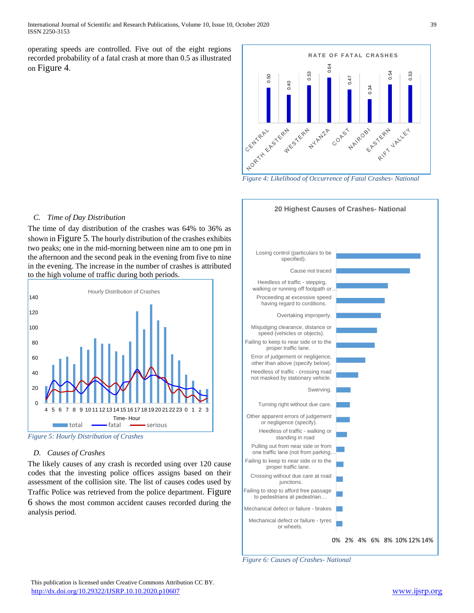operating speeds are controlled. Five out of the eight regions recorded probability of a fatal crash at more than 0.5 as illustrated on [Figure 4](#page-2-0).



<span id="page-2-0"></span>*Figure 4: Likelihood of Occurrence of Fatal Crashes- National*

#### *C. Time of Day Distribution*

The time of day distribution of the crashes was 64% to 36% as shown in [Figure 5](#page-2-1). The hourly distribution of the crashes exhibits two peaks; one in the mid-morning between nine am to one pm in the afternoon and the second peak in the evening from five to nine in the evening. The increase in the number of crashes is attributed to the high volume of traffic during both periods.



<span id="page-2-1"></span>*Figure 5: Hourly Distribution of Crashes*

#### *D. Causes of Crashes*

The likely causes of any crash is recorded using over 120 cause codes that the investing police offices assigns based on their assessment of the collision site. The list of causes codes used by Traffic Police was retrieved from the police department. [Figure](#page-2-2)  [6](#page-2-2) shows the most common accident causes recorded during the analysis period.



<span id="page-2-2"></span>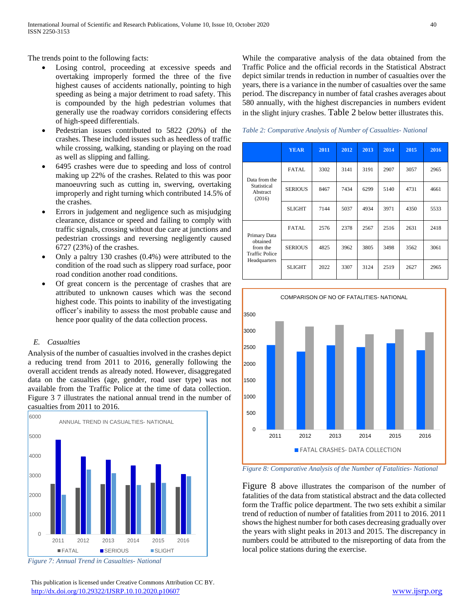The trends point to the following facts:

- Losing control, proceeding at excessive speeds and overtaking improperly formed the three of the five highest causes of accidents nationally, pointing to high speeding as being a major detriment to road safety. This is compounded by the high pedestrian volumes that generally use the roadway corridors considering effects of high-speed differentials.
- Pedestrian issues contributed to 5822 (20%) of the crashes. These included issues such as heedless of traffic while crossing, walking, standing or playing on the road as well as slipping and falling.
- 6495 crashes were due to speeding and loss of control making up 22% of the crashes. Related to this was poor manoeuvring such as cutting in, swerving, overtaking improperly and right turning which contributed 14.5% of the crashes.
- Errors in judgement and negligence such as misjudging clearance, distance or speed and failing to comply with traffic signals, crossing without due care at junctions and pedestrian crossings and reversing negligently caused 6727 (23%) of the crashes.
- Only a paltry 130 crashes (0.4%) were attributed to the condition of the road such as slippery road surface, poor road condition another road conditions.
- Of great concern is the percentage of crashes that are attributed to unknown causes which was the second highest code. This points to inability of the investigating officer's inability to assess the most probable cause and hence poor quality of the data collection process.

#### *E. Casualties*

Analysis of the number of casualties involved in the crashes depict a reducing trend from 2011 to 2016, generally following the overall accident trends as already noted. However, disaggregated data on the casualties (age, gender, road user type) was not available from the Traffic Police at the time of data collection. Figure 3 7 illustrates the national annual trend in the number of casualties from 2011 to 2016.



*Figure 7: Annual Trend in Casualties- National*

While the comparative analysis of the data obtained from the Traffic Police and the official records in the Statistical Abstract depict similar trends in reduction in number of casualties over the years, there is a variance in the number of casualties over the same period. The discrepancy in number of fatal crashes averages about 580 annually, with the highest discrepancies in numbers evident in the slight injury crashes. [Table 2](#page-3-0) below better illustrates this.

<span id="page-3-0"></span>*Table 2: Comparative Analysis of Number of Casualties- National*

|                                                                               | <b>YEAR</b>    | 2011 | 2012 | 2013 | 2014 | 2015 | 2016 |
|-------------------------------------------------------------------------------|----------------|------|------|------|------|------|------|
| Data from the<br>Statistical<br>Abstract<br>(2016)                            | <b>FATAL</b>   | 3302 | 3141 | 3191 | 2907 | 3057 | 2965 |
|                                                                               | <b>SERIOUS</b> | 8467 | 7434 | 6299 | 5140 | 4731 | 4661 |
|                                                                               | <b>SLIGHT</b>  | 7144 | 5037 | 4934 | 3971 | 4350 | 5533 |
| Primary Data<br>obtained<br>from the<br><b>Traffic Police</b><br>Headquarters | <b>FATAL</b>   | 2576 | 2378 | 2567 | 2516 | 2631 | 2418 |
|                                                                               | <b>SERIOUS</b> | 4825 | 3962 | 3805 | 3498 | 3562 | 3061 |
|                                                                               | <b>SLIGHT</b>  | 2022 | 3307 | 3124 | 2519 | 2627 | 2965 |



<span id="page-3-1"></span>*Figure 8: Comparative Analysis of the Number of Fatalities- National*

[Figure 8](#page-3-1) above illustrates the comparison of the number of fatalities of the data from statistical abstract and the data collected form the Traffic police department. The two sets exhibit a similar trend of reduction of number of fatalities from 2011 to 2016. 2011 shows the highest number for both cases decreasing gradually over the years with slight peaks in 2013 and 2015. The discrepancy in numbers could be attributed to the misreporting of data from the local police stations during the exercise.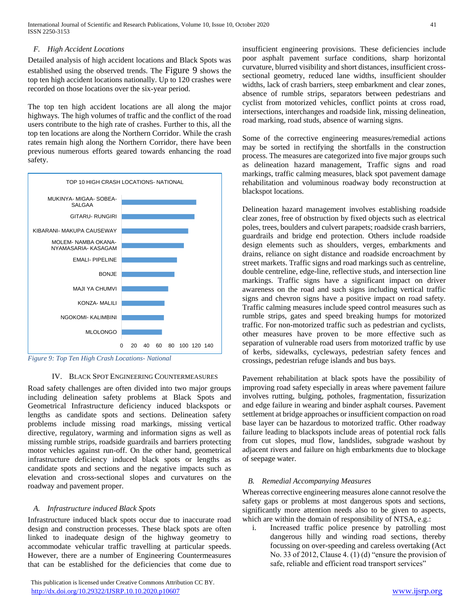## *F. High Accident Locations*

Detailed analysis of high accident locations and Black Spots was established using the observed trends. The [Figure 9](#page-4-0) shows the top ten high accident locations nationally. Up to 120 crashes were recorded on those locations over the six-year period.

The top ten high accident locations are all along the major highways. The high volumes of traffic and the conflict of the road users contribute to the high rate of crashes. Further to this, all the top ten locations are along the Northern Corridor. While the crash rates remain high along the Northern Corridor, there have been previous numerous efforts geared towards enhancing the road safety.



<span id="page-4-0"></span>*Figure 9: Top Ten High Crash Locations- National*

#### IV. BLACK SPOT ENGINEERING COUNTERMEASURES

Road safety challenges are often divided into two major groups including delineation safety problems at Black Spots and Geometrical Infrastructure deficiency induced blackspots or lengths as candidate spots and sections. Delineation safety problems include missing road markings, missing vertical directive, regulatory, warming and information signs as well as missing rumble strips, roadside guardrails and barriers protecting motor vehicles against run-off. On the other hand, geometrical infrastructure deficiency induced black spots or lengths as candidate spots and sections and the negative impacts such as elevation and cross-sectional slopes and curvatures on the roadway and pavement proper.

#### *A. Infrastructure induced Black Spots*

Infrastructure induced black spots occur due to inaccurate road design and construction processes. These black spots are often linked to inadequate design of the highway geometry to accommodate vehicular traffic travelling at particular speeds. However, there are a number of Engineering Countermeasures that can be established for the deficiencies that come due to

 This publication is licensed under Creative Commons Attribution CC BY. <http://dx.doi.org/10.29322/IJSRP.10.10.2020.p10607> [www.ijsrp.org](http://ijsrp.org/)

insufficient engineering provisions. These deficiencies include poor asphalt pavement surface conditions, sharp horizontal curvature, blurred visibility and short distances, insufficient crosssectional geometry, reduced lane widths, insufficient shoulder widths, lack of crash barriers, steep embarkment and clear zones, absence of rumble strips, separators between pedestrians and cyclist from motorized vehicles, conflict points at cross road, intersections, interchanges and roadside link, missing delineation, road marking, road studs, absence of warning signs.

Some of the corrective engineering measures/remedial actions may be sorted in rectifying the shortfalls in the construction process. The measures are categorized into five major groups such as delineation hazard management, Traffic signs and road markings, traffic calming measures, black spot pavement damage rehabilitation and voluminous roadway body reconstruction at blackspot locations.

Delineation hazard management involves establishing roadside clear zones, free of obstruction by fixed objects such as electrical poles, trees, boulders and culvert parapets; roadside crash barriers, guardrails and bridge end protection. Others include roadside design elements such as shoulders, verges, embarkments and drains, reliance on sight distance and roadside encroachment by street markets. Traffic signs and road markings such as centreline, double centreline, edge-line, reflective studs, and intersection line markings. Traffic signs have a significant impact on driver awareness on the road and such signs including vertical traffic signs and chevron signs have a positive impact on road safety. Traffic calming measures include speed control measures such as rumble strips, gates and speed breaking humps for motorized traffic. For non-motorized traffic such as pedestrian and cyclists, other measures have proven to be more effective such as separation of vulnerable road users from motorized traffic by use of kerbs, sidewalks, cycleways, pedestrian safety fences and crossings, pedestrian refuge islands and bus bays.

Pavement rehabilitation at black spots have the possibility of improving road safety especially in areas where pavement failure involves rutting, bulging, potholes, fragmentation, fissurization and edge failure in wearing and binder asphalt courses. Pavement settlement at bridge approaches or insufficient compaction on road base layer can be hazardous to motorized traffic. Other roadway failure leading to blackspots include areas of potential rock falls from cut slopes, mud flow, landslides, subgrade washout by adjacent rivers and failure on high embarkments due to blockage of seepage water.

#### *B. Remedial Accompanying Measures*

Whereas corrective engineering measures alone cannot resolve the safety gaps or problems at most dangerous spots and sections, significantly more attention needs also to be given to aspects, which are within the domain of responsibility of NTSA, e.g.:

i. Increased traffic police presence by patrolling most dangerous hilly and winding road sections, thereby focussing on over-speeding and careless overtaking (Act No. 33 of 2012, Clause 4. (1) (d) "ensure the provision of safe, reliable and efficient road transport services"